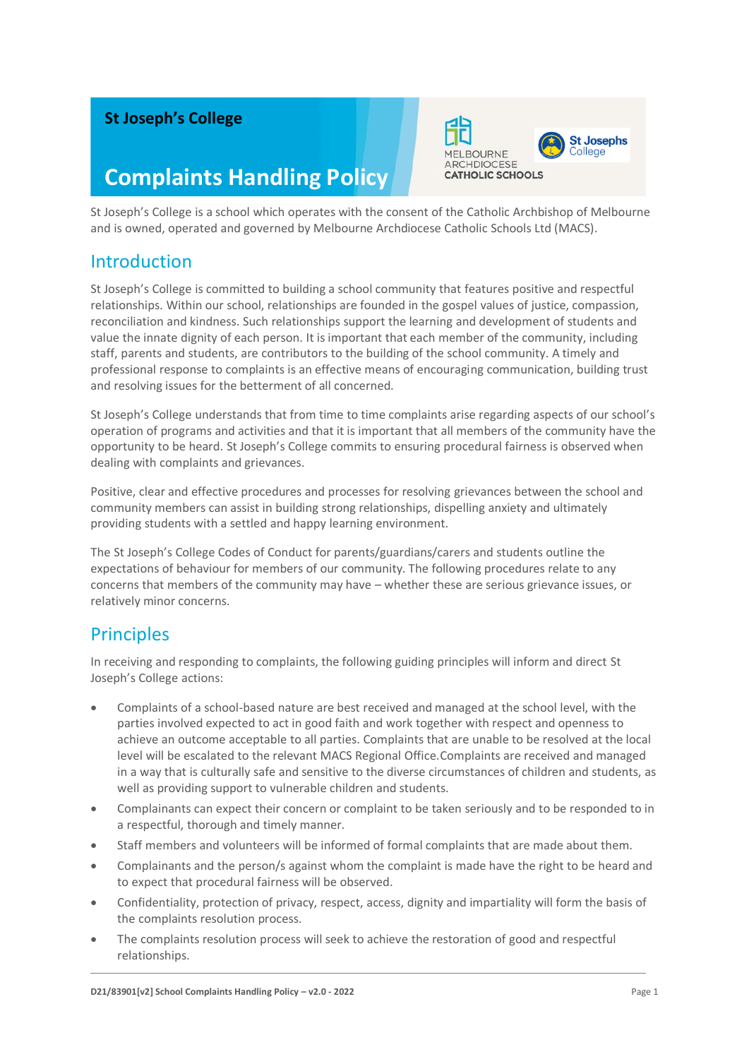### **St Joseph's College**

# **Complaints Handling Policy**



St Joseph's College is a school which operates with the consent of the Catholic Archbishop of Melbourne and is owned, operated and governed by Melbourne Archdiocese Catholic Schools Ltd (MACS).

### Introduction

St Joseph's College is committed to building a school community that features positive and respectful relationships. Within our school, relationships are founded in the gospel values of justice, compassion, reconciliation and kindness. Such relationships support the learning and development of students and value the innate dignity of each person. It is important that each member of the community, including staff, parents and students, are contributors to the building of the school community. A timely and professional response to complaints is an effective means of encouraging communication, building trust and resolving issues for the betterment of all concerned.

St Joseph's College understands that from time to time complaints arise regarding aspects of our school's operation of programs and activities and that it is important that all members of the community have the opportunity to be heard. St Joseph's College commits to ensuring procedural fairness is observed when dealing with complaints and grievances.

Positive, clear and effective procedures and processes for resolving grievances between the school and community members can assist in building strong relationships, dispelling anxiety and ultimately providing students with a settled and happy learning environment.

The St Joseph's College Codes of Conduct for parents/guardians/carers and students outline the expectations of behaviour for members of our community. The following procedures relate to any concerns that members of the community may have – whether these are serious grievance issues, or relatively minor concerns.

### **Principles**

In receiving and responding to complaints, the following guiding principles will inform and direct St Joseph's College actions:

- Complaints of a school-based nature are best received and managed at the school level, with the parties involved expected to act in good faith and work together with respect and openness to achieve an outcome acceptable to all parties. Complaints that are unable to be resolved at the local level will be escalated to the relevant MACS Regional Office.Complaints are received and managed in a way that is culturally safe and sensitive to the diverse circumstances of children and students, as well as providing support to vulnerable children and students.
- Complainants can expect their concern or complaint to be taken seriously and to be responded to in a respectful, thorough and timely manner.
- Staff members and volunteers will be informed of formal complaints that are made about them.
- Complainants and the person/s against whom the complaint is made have the right to be heard and to expect that procedural fairness will be observed.
- Confidentiality, protection of privacy, respect, access, dignity and impartiality will form the basis of the complaints resolution process.
- The complaints resolution process will seek to achieve the restoration of good and respectful relationships.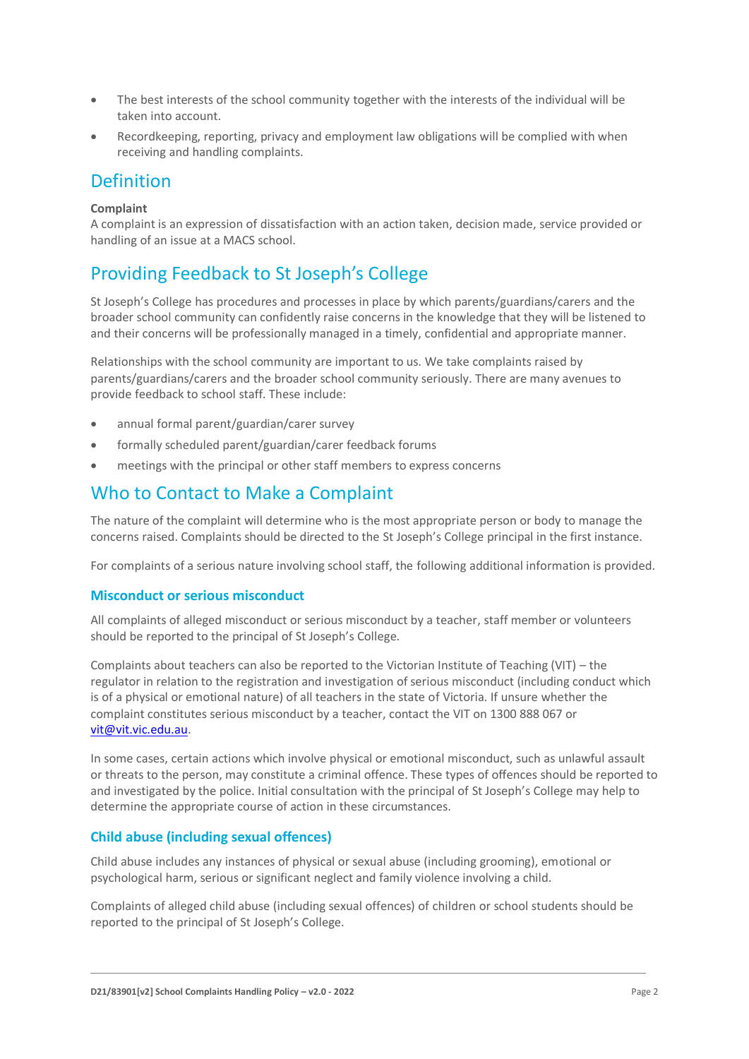- The best interests of the school community together with the interests of the individual will be taken into account.
- Recordkeeping, reporting, privacy and employment law obligations will be complied with when receiving and handling complaints.

### Definition

#### **Complaint**

A complaint is an expression of dissatisfaction with an action taken, decision made, service provided or handling of an issue at a MACS school.

# Providing Feedback to St Joseph's College

St Joseph's College has procedures and processes in place by which parents/guardians/carers and the broader school community can confidently raise concerns in the knowledge that they will be listened to and their concerns will be professionally managed in a timely, confidential and appropriate manner.

Relationships with the school community are important to us. We take complaints raised by parents/guardians/carers and the broader school community seriously. There are many avenues to provide feedback to school staff. These include:

- annual formal parent/guardian/carer survey
- formally scheduled parent/guardian/carer feedback forums
- meetings with the principal or other staff members to express concerns

### Who to Contact to Make a Complaint

The nature of the complaint will determine who is the most appropriate person or body to manage the concerns raised. Complaints should be directed to the St Joseph's College principal in the first instance.

For complaints of a serious nature involving school staff, the following additional information is provided.

#### **Misconduct or serious misconduct**

All complaints of alleged misconduct or serious misconduct by a teacher, staff member or volunteers should be reported to the principal of St Joseph's College.

Complaints about teachers can also be reported to the Victorian Institute of Teaching (VIT) – the regulator in relation to the registration and investigation of serious misconduct (including conduct which is of a physical or emotional nature) of all teachers in the state of Victoria. If unsure whether the complaint constitutes serious misconduct by a teacher, contact the VIT on 1300 888 067 or [vit@vit.vic.edu.au.](mailto:vit@vit.vic.edu.au)

In some cases, certain actions which involve physical or emotional misconduct, such as unlawful assault or threats to the person, may constitute a criminal offence. These types of offences should be reported to and investigated by the police. Initial consultation with the principal of St Joseph's College may help to determine the appropriate course of action in these circumstances.

#### **Child abuse (including sexual offences)**

Child abuse includes any instances of physical or sexual abuse (including grooming), emotional or psychological harm, serious or significant neglect and family violence involving a child.

Complaints of alleged child abuse (including sexual offences) of children or school students should be reported to the principal of St Joseph's College.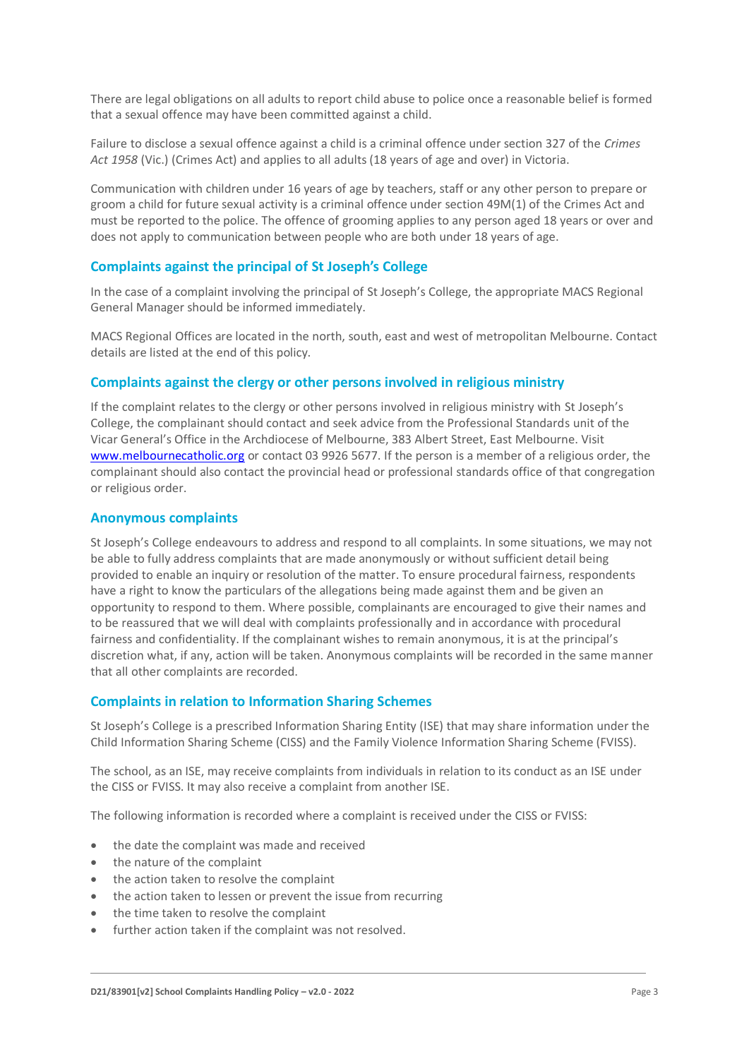There are legal obligations on all adults to report child abuse to police once a reasonable belief is formed that a sexual offence may have been committed against a child.

Failure to disclose a sexual offence against a child is a criminal offence under section 327 of the *Crimes Act 1958* (Vic.) (Crimes Act) and applies to all adults (18 years of age and over) in Victoria.

Communication with children under 16 years of age by teachers, staff or any other person to prepare or groom a child for future sexual activity is a criminal offence under section 49M(1) of the Crimes Act and must be reported to the police. The offence of grooming applies to any person aged 18 years or over and does not apply to communication between people who are both under 18 years of age.

#### **Complaints against the principal of St Joseph's College**

In the case of a complaint involving the principal of St Joseph's College, the appropriate MACS Regional General Manager should be informed immediately.

MACS Regional Offices are located in the north, south, east and west of metropolitan Melbourne. Contact details are listed at the end of this policy.

#### **Complaints against the clergy or other persons involved in religious ministry**

If the complaint relates to the clergy or other persons involved in religious ministry with St Joseph's College, the complainant should contact and seek advice from the Professional Standards unit of the Vicar General's Office in the Archdiocese of Melbourne, 383 Albert Street, East Melbourne. Visit [www.melbournecatholic.org](http://www.melbournecatholic.org/) or contact 03 9926 5677. If the person is a member of a religious order, the complainant should also contact the provincial head or professional standards office of that congregation or religious order.

#### **Anonymous complaints**

St Joseph's College endeavours to address and respond to all complaints. In some situations, we may not be able to fully address complaints that are made anonymously or without sufficient detail being provided to enable an inquiry or resolution of the matter. To ensure procedural fairness, respondents have a right to know the particulars of the allegations being made against them and be given an opportunity to respond to them. Where possible, complainants are encouraged to give their names and to be reassured that we will deal with complaints professionally and in accordance with procedural fairness and confidentiality. If the complainant wishes to remain anonymous, it is at the principal's discretion what, if any, action will be taken. Anonymous complaints will be recorded in the same manner that all other complaints are recorded.

#### **Complaints in relation to Information Sharing Schemes**

St Joseph's College is a prescribed Information Sharing Entity (ISE) that may share information under the Child Information Sharing Scheme (CISS) and the Family Violence Information Sharing Scheme (FVISS).

The school, as an ISE, may receive complaints from individuals in relation to its conduct as an ISE under the CISS or FVISS. It may also receive a complaint from another ISE.

The following information is recorded where a complaint is received under the CISS or FVISS:

- the date the complaint was made and received
- the nature of the complaint
- the action taken to resolve the complaint
- the action taken to lessen or prevent the issue from recurring
- the time taken to resolve the complaint
- further action taken if the complaint was not resolved.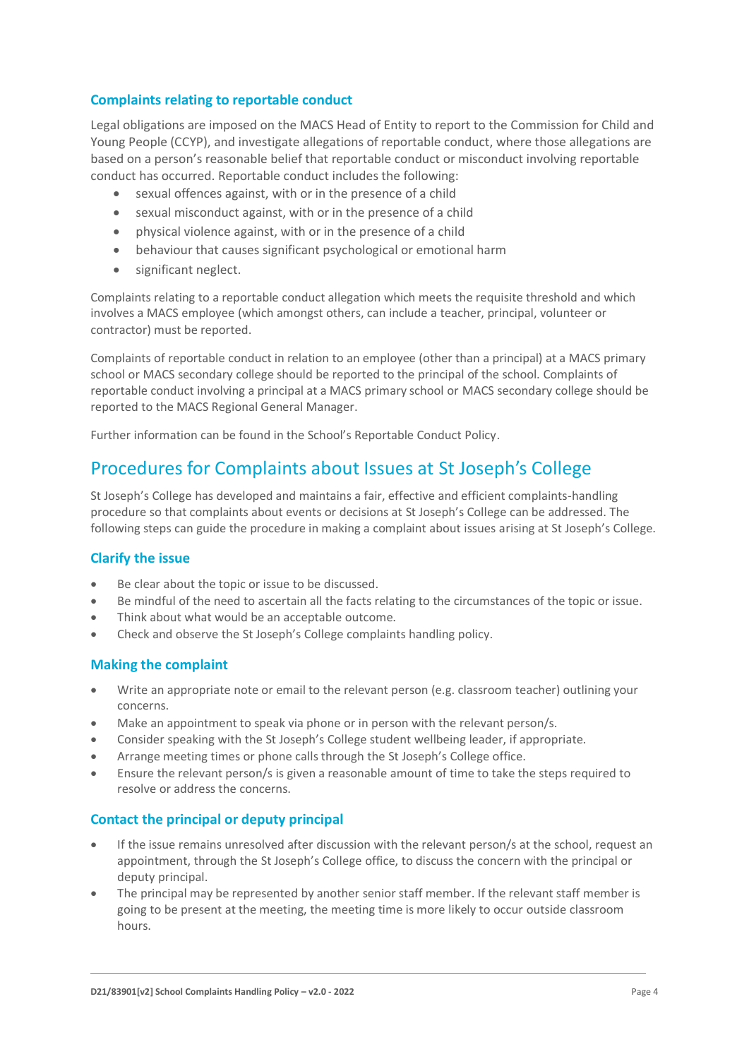#### **Complaints relating to reportable conduct**

Legal obligations are imposed on the MACS Head of Entity to report to the Commission for Child and Young People (CCYP), and investigate allegations of reportable conduct, where those allegations are based on a person's reasonable belief that reportable conduct or misconduct involving reportable conduct has occurred. Reportable conduct includes the following:

- sexual offences against, with or in the presence of a child
- sexual misconduct against, with or in the presence of a child
- physical violence against, with or in the presence of a child
- behaviour that causes significant psychological or emotional harm
- significant neglect.

Complaints relating to a reportable conduct allegation which meets the requisite threshold and which involves a MACS employee (which amongst others, can include a teacher, principal, volunteer or contractor) must be reported.

Complaints of reportable conduct in relation to an employee (other than a principal) at a MACS primary school or MACS secondary college should be reported to the principal of the school. Complaints of reportable conduct involving a principal at a MACS primary school or MACS secondary college should be reported to the MACS Regional General Manager.

Further information can be found in the School's Reportable Conduct Policy.

# Procedures for Complaints about Issues at St Joseph's College

St Joseph's College has developed and maintains a fair, effective and efficient complaints-handling procedure so that complaints about events or decisions at St Joseph's College can be addressed. The following steps can guide the procedure in making a complaint about issues arising at St Joseph's College.

#### **Clarify the issue**

- Be clear about the topic or issue to be discussed.
- Be mindful of the need to ascertain all the facts relating to the circumstances of the topic or issue.
- Think about what would be an acceptable outcome.
- Check and observe the St Joseph's College complaints handling policy.

#### **Making the complaint**

- Write an appropriate note or email to the relevant person (e.g. classroom teacher) outlining your concerns.
- Make an appointment to speak via phone or in person with the relevant person/s.
- Consider speaking with the St Joseph's College student wellbeing leader, if appropriate.
- Arrange meeting times or phone calls through the St Joseph's College office.
- Ensure the relevant person/s is given a reasonable amount of time to take the steps required to resolve or address the concerns.

#### **Contact the principal or deputy principal**

- If the issue remains unresolved after discussion with the relevant person/s at the school, request an appointment, through the St Joseph's College office, to discuss the concern with the principal or deputy principal.
- The principal may be represented by another senior staff member. If the relevant staff member is going to be present at the meeting, the meeting time is more likely to occur outside classroom hours.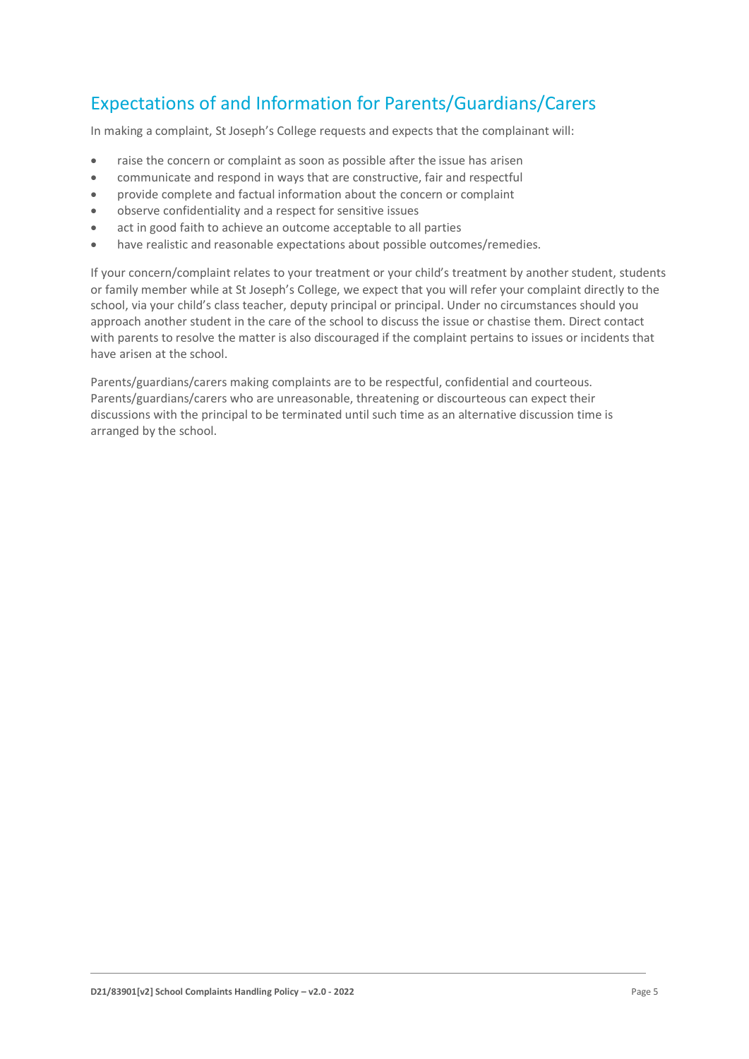# Expectations of and Information for Parents/Guardians/Carers

In making a complaint, St Joseph's College requests and expects that the complainant will:

- raise the concern or complaint as soon as possible after the issue has arisen
- communicate and respond in ways that are constructive, fair and respectful
- provide complete and factual information about the concern or complaint
- observe confidentiality and a respect for sensitive issues
- act in good faith to achieve an outcome acceptable to all parties
- have realistic and reasonable expectations about possible outcomes/remedies.

If your concern/complaint relates to your treatment or your child's treatment by another student, students or family member while at St Joseph's College, we expect that you will refer your complaint directly to the school, via your child's class teacher, deputy principal or principal. Under no circumstances should you approach another student in the care of the school to discuss the issue or chastise them. Direct contact with parents to resolve the matter is also discouraged if the complaint pertains to issues or incidents that have arisen at the school.

Parents/guardians/carers making complaints are to be respectful, confidential and courteous. Parents/guardians/carers who are unreasonable, threatening or discourteous can expect their discussions with the principal to be terminated until such time as an alternative discussion time is arranged by the school.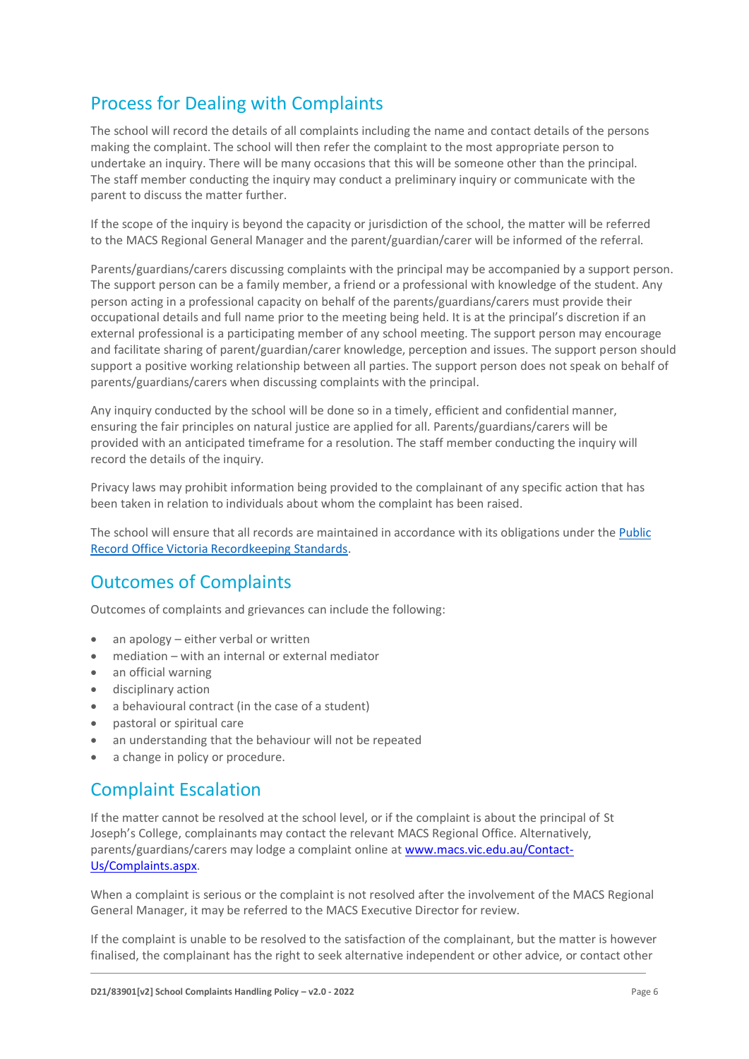# Process for Dealing with Complaints

The school will record the details of all complaints including the name and contact details of the persons making the complaint. The school will then refer the complaint to the most appropriate person to undertake an inquiry. There will be many occasions that this will be someone other than the principal. The staff member conducting the inquiry may conduct a preliminary inquiry or communicate with the parent to discuss the matter further.

If the scope of the inquiry is beyond the capacity or jurisdiction of the school, the matter will be referred to the MACS Regional General Manager and the parent/guardian/carer will be informed of the referral.

Parents/guardians/carers discussing complaints with the principal may be accompanied by a support person. The support person can be a family member, a friend or a professional with knowledge of the student. Any person acting in a professional capacity on behalf of the parents/guardians/carers must provide their occupational details and full name prior to the meeting being held. It is at the principal's discretion if an external professional is a participating member of any school meeting. The support person may encourage and facilitate sharing of parent/guardian/carer knowledge, perception and issues. The support person should support a positive working relationship between all parties. The support person does not speak on behalf of parents/guardians/carers when discussing complaints with the principal.

Any inquiry conducted by the school will be done so in a timely, efficient and confidential manner, ensuring the fair principles on natural justice are applied for all. Parents/guardians/carers will be provided with an anticipated timeframe for a resolution. The staff member conducting the inquiry will record the details of the inquiry.

Privacy laws may prohibit information being provided to the complainant of any specific action that has been taken in relation to individuals about whom the complaint has been raised.

The school will ensure that all records are maintained in accordance with its obligations under the [Public](https://prov.vic.gov.au/recordkeeping-government/standards-framework)  [Record Office Victoria Recordkeeping Standards.](https://prov.vic.gov.au/recordkeeping-government/standards-framework)

# Outcomes of Complaints

Outcomes of complaints and grievances can include the following:

- an apology either verbal or written
- mediation with an internal or external mediator
- an official warning
- disciplinary action
- a behavioural contract (in the case of a student)
- pastoral or spiritual care
- an understanding that the behaviour will not be repeated
- a change in policy or procedure.

### Complaint Escalation

If the matter cannot be resolved at the school level, or if the complaint is about the principal of St Joseph's College, complainants may contact the relevant MACS Regional Office. Alternatively, parents/guardians/carers may lodge a complaint online at [www.macs.vic.edu.au/Contact-](http://www.macs.vic.edu.au/Contact-Us/Complaints.aspx)[Us/Complaints.aspx.](http://www.macs.vic.edu.au/Contact-Us/Complaints.aspx)

When a complaint is serious or the complaint is not resolved after the involvement of the MACS Regional General Manager, it may be referred to the MACS Executive Director for review.

If the complaint is unable to be resolved to the satisfaction of the complainant, but the matter is however finalised, the complainant has the right to seek alternative independent or other advice, or contact other